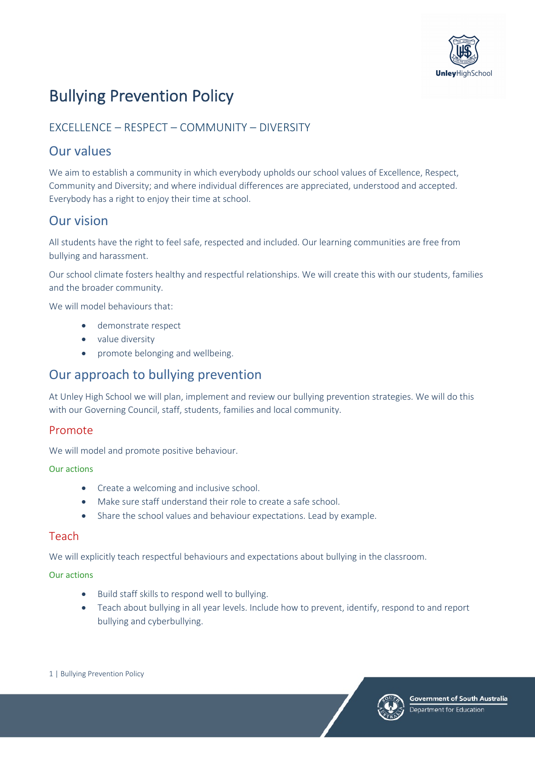

# Bullying Prevention Policy

### EXCELLENCE – RESPECT – COMMUNITY – DIVERSITY

## Our values

We aim to establish a community in which everybody upholds our school values of Excellence, Respect, Community and Diversity; and where individual differences are appreciated, understood and accepted. Everybody has a right to enjoy their time at school.

# Our vision

All students have the right to feel safe, respected and included. Our learning communities are free from bullying and harassment.

Our school climate fosters healthy and respectful relationships. We will create this with our students, families and the broader community.

We will model behaviours that:

- demonstrate respect
- value diversity
- promote belonging and wellbeing.

### Our approach to bullying prevention

At Unley High School we will plan, implement and review our bullying prevention strategies. We will do this with our Governing Council, staff, students, families and local community.

### Promote

We will model and promote positive behaviour.

### Our actions

- Create a welcoming and inclusive school.
- Make sure staff understand their role to create a safe school.
- Share the school values and behaviour expectations. Lead by example.

### **Teach**

We will explicitly teach respectful behaviours and expectations about bullying in the classroom.

### Our actions

- Build staff skills to respond well to bullying.
- Teach about bullying in all year levels. Include how to prevent, identify, respond to and report bullying and cyberbullying.

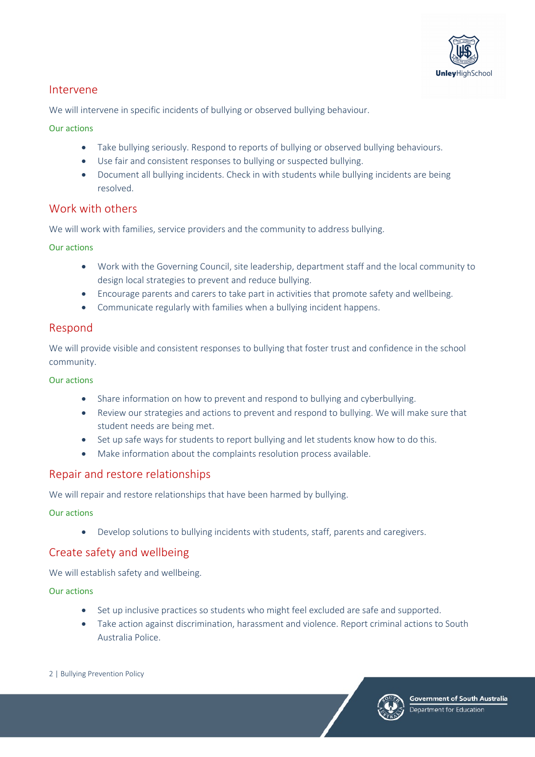

### Intervene

We will intervene in specific incidents of bullying or observed bullying behaviour.

### Our actions

- Take bullying seriously. Respond to reports of bullying or observed bullying behaviours.
- Use fair and consistent responses to bullying or suspected bullying.
- Document all bullying incidents. Check in with students while bullying incidents are being resolved.

### Work with others

We will work with families, service providers and the community to address bullying.

Our actions

- Work with the Governing Council, site leadership, department staff and the local community to design local strategies to prevent and reduce bullying.
- Encourage parents and carers to take part in activities that promote safety and wellbeing.
- Communicate regularly with families when a bullying incident happens.

### Respond

We will provide visible and consistent responses to bullying that foster trust and confidence in the school community.

### Our actions

- Share information on how to prevent and respond to bullying and cyberbullying.
- Review our strategies and actions to prevent and respond to bullying. We will make sure that student needs are being met.
- Set up safe ways for students to report bullying and let students know how to do this.
- Make information about the complaints resolution process available.

### Repair and restore relationships

We will repair and restore relationships that have been harmed by bullying.

### Our actions

• Develop solutions to bullying incidents with students, staff, parents and caregivers.

### Create safety and wellbeing

We will establish safety and wellbeing.

### Our actions

- Set up inclusive practices so students who might feel excluded are safe and supported.
- Take action against discrimination, harassment and violence. Report criminal actions to South Australia Police.
- 2 | Bullying Prevention Policy

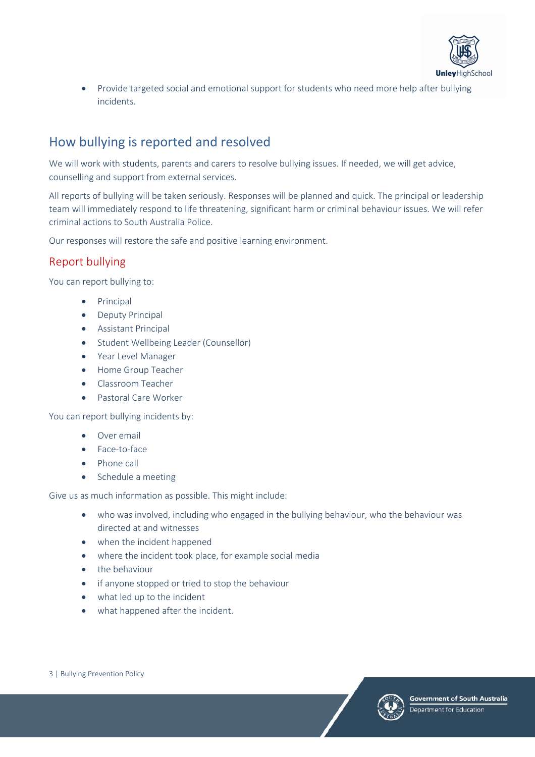

• Provide targeted social and emotional support for students who need more help after bullying incidents.

# How bullying is reported and resolved

We will work with students, parents and carers to resolve bullying issues. If needed, we will get advice, counselling and support from external services.

All reports of bullying will be taken seriously. Responses will be planned and quick. The principal or leadership team will immediately respond to life threatening, significant harm or criminal behaviour issues. We will refer criminal actions to South Australia Police.

Our responses will restore the safe and positive learning environment.

### Report bullying

You can report bullying to:

- Principal
- Deputy Principal
- Assistant Principal
- Student Wellbeing Leader (Counsellor)
- Year Level Manager
- Home Group Teacher
- Classroom Teacher
- Pastoral Care Worker

You can report bullying incidents by:

- Over email
- Face-to-face
- Phone call
- Schedule a meeting

Give us as much information as possible. This might include:

- who was involved, including who engaged in the bullying behaviour, who the behaviour was directed at and witnesses
- when the incident happened
- where the incident took place, for example social media
- the behaviour
- if anyone stopped or tried to stop the behaviour
- what led up to the incident
- what happened after the incident.



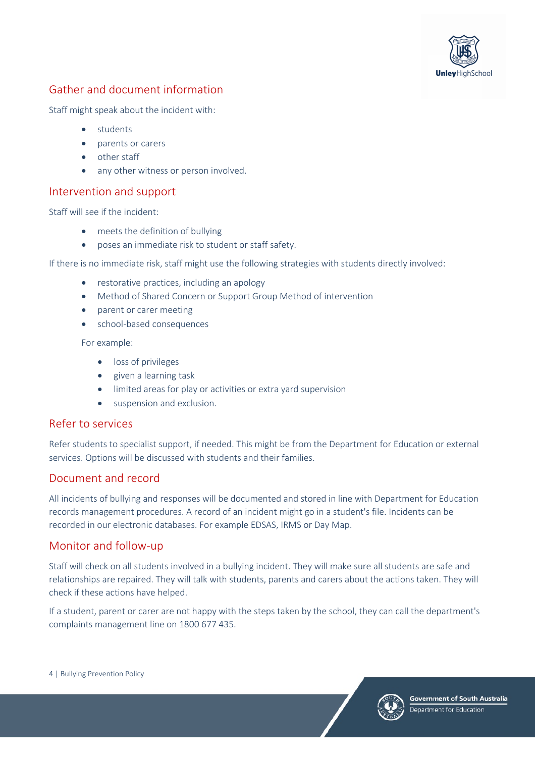

### Gather and document information

Staff might speak about the incident with:

- students
- parents or carers
- other staff
- any other witness or person involved.

### Intervention and support

Staff will see if the incident:

- meets the definition of bullying
- poses an immediate risk to student or staff safety.

If there is no immediate risk, staff might use the following strategies with students directly involved:

- restorative practices, including an apology
- Method of Shared Concern or Support Group Method of intervention
- parent or carer meeting
- school-based consequences

For example:

- loss of privileges
- given a learning task
- limited areas for play or activities or extra yard supervision
- suspension and exclusion.

### Refer to services

Refer students to specialist support, if needed. This might be from the Department for Education or external services. Options will be discussed with students and their families.

### Document and record

All incidents of bullying and responses will be documented and stored in line with Department for Education records management procedures. A record of an incident might go in a student's file. Incidents can be recorded in our electronic databases. For example EDSAS, IRMS or Day Map.

### Monitor and follow-up

Staff will check on all students involved in a bullying incident. They will make sure all students are safe and relationships are repaired. They will talk with students, parents and carers about the actions taken. They will check if these actions have helped.

If a student, parent or carer are not happy with the steps taken by the school, they can call the department's complaints management line on 1800 677 435.

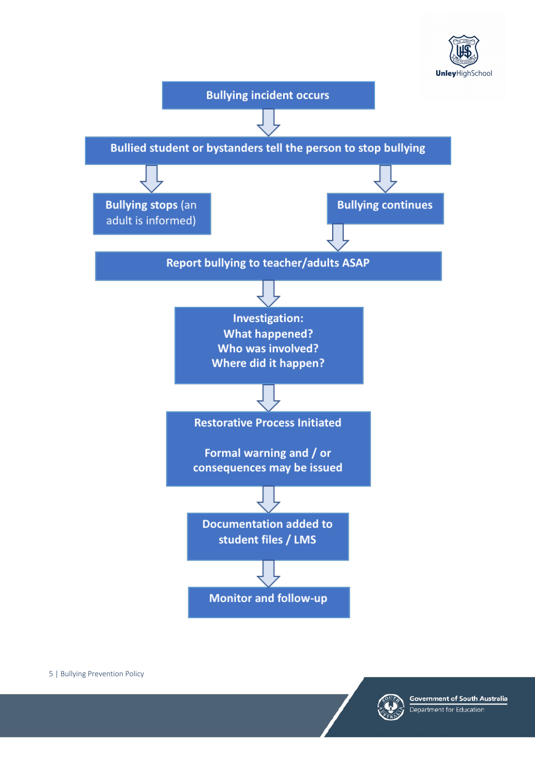



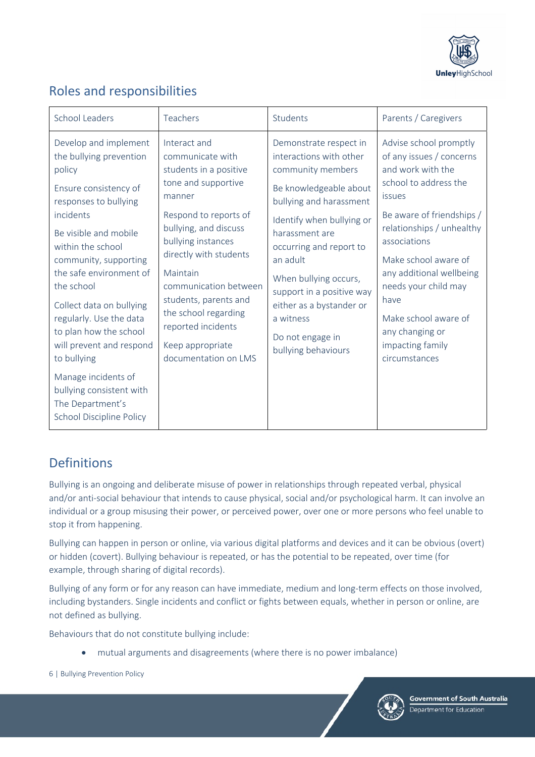

# Roles and responsibilities

| <b>School Leaders</b>                                                                                                                                                                                                                                                                                                                                                 | Teachers                                                                                                                                                                                                                                                                                                                                              | Students                                                                                                                                                                                                                                                                                                                                                    | Parents / Caregivers                                                                                                                                                                                                                                                                                                                                     |
|-----------------------------------------------------------------------------------------------------------------------------------------------------------------------------------------------------------------------------------------------------------------------------------------------------------------------------------------------------------------------|-------------------------------------------------------------------------------------------------------------------------------------------------------------------------------------------------------------------------------------------------------------------------------------------------------------------------------------------------------|-------------------------------------------------------------------------------------------------------------------------------------------------------------------------------------------------------------------------------------------------------------------------------------------------------------------------------------------------------------|----------------------------------------------------------------------------------------------------------------------------------------------------------------------------------------------------------------------------------------------------------------------------------------------------------------------------------------------------------|
| Develop and implement<br>the bullying prevention<br>policy<br>Ensure consistency of<br>responses to bullying<br>incidents<br>Be visible and mobile<br>within the school<br>community, supporting<br>the safe environment of<br>the school<br>Collect data on bullying<br>regularly. Use the data<br>to plan how the school<br>will prevent and respond<br>to bullying | Interact and<br>communicate with<br>students in a positive<br>tone and supportive<br>manner<br>Respond to reports of<br>bullying, and discuss<br>bullying instances<br>directly with students<br>Maintain<br>communication between<br>students, parents and<br>the school regarding<br>reported incidents<br>Keep appropriate<br>documentation on LMS | Demonstrate respect in<br>interactions with other<br>community members<br>Be knowledgeable about<br>bullying and harassment<br>Identify when bullying or<br>harassment are<br>occurring and report to<br>an adult<br>When bullying occurs,<br>support in a positive way<br>either as a bystander or<br>a witness<br>Do not engage in<br>bullying behaviours | Advise school promptly<br>of any issues / concerns<br>and work with the<br>school to address the<br>issues<br>Be aware of friendships /<br>relationships / unhealthy<br>associations<br>Make school aware of<br>any additional wellbeing<br>needs your child may<br>have<br>Make school aware of<br>any changing or<br>impacting family<br>circumstances |
| Manage incidents of<br>bullying consistent with<br>The Department's<br><b>School Discipline Policy</b>                                                                                                                                                                                                                                                                |                                                                                                                                                                                                                                                                                                                                                       |                                                                                                                                                                                                                                                                                                                                                             |                                                                                                                                                                                                                                                                                                                                                          |

# **Definitions**

Bullying is an ongoing and deliberate misuse of power in relationships through repeated verbal, physical and/or anti-social behaviour that intends to cause physical, social and/or psychological harm. It can involve an individual or a group misusing their power, or perceived power, over one or more persons who feel unable to stop it from happening.

Bullying can happen in person or online, via various digital platforms and devices and it can be obvious (overt) or hidden (covert). Bullying behaviour is repeated, or has the potential to be repeated, over time (for example, through sharing of digital records).

Bullying of any form or for any reason can have immediate, medium and long-term effects on those involved, including bystanders. Single incidents and conflict or fights between equals, whether in person or online, are not defined as bullying.

Behaviours that do not constitute bullying include:

• mutual arguments and disagreements (where there is no power imbalance)

6 | Bullying Prevention Policy



Government of South Australia Department for Education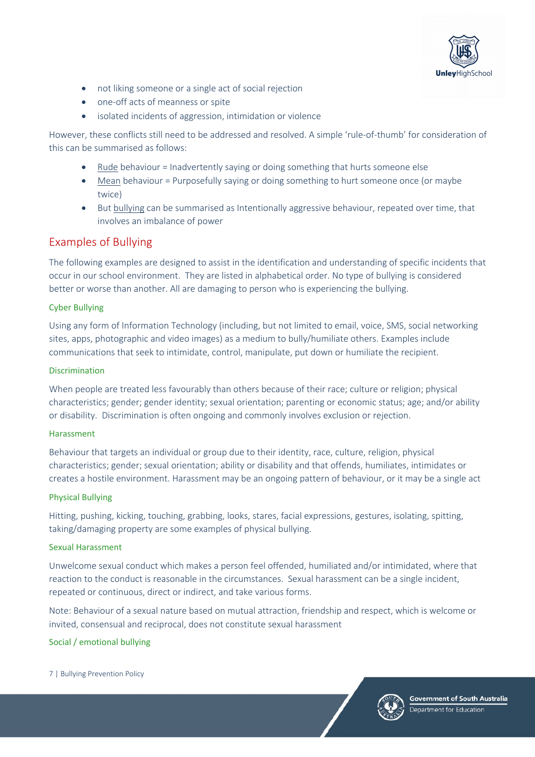

- not liking someone or a single act of social rejection
- one-off acts of meanness or spite
- isolated incidents of aggression, intimidation or violence

However, these conflicts still need to be addressed and resolved. A simple 'rule-of-thumb' for consideration of this can be summarised as follows:

- Rude behaviour = Inadvertently saying or doing something that hurts someone else
- Mean behaviour = Purposefully saying or doing something to hurt someone once (or maybe twice)
- But bullying can be summarised as Intentionally aggressive behaviour, repeated over time, that involves an imbalance of power

### Examples of Bullying

The following examples are designed to assist in the identification and understanding of specific incidents that occur in our school environment. They are listed in alphabetical order. No type of bullying is considered better or worse than another. All are damaging to person who is experiencing the bullying.

#### Cyber Bullying

Using any form of Information Technology (including, but not limited to email, voice, SMS, social networking sites, apps, photographic and video images) as a medium to bully/humiliate others. Examples include communications that seek to intimidate, control, manipulate, put down or humiliate the recipient.

#### **Discrimination**

When people are treated less favourably than others because of their race; culture or religion; physical characteristics; gender; gender identity; sexual orientation; parenting or economic status; age; and/or ability or disability. Discrimination is often ongoing and commonly involves exclusion or rejection.

#### Harassment

Behaviour that targets an individual or group due to their identity, race, culture, religion, physical characteristics; gender; sexual orientation; ability or disability and that offends, humiliates, intimidates or creates a hostile environment. Harassment may be an ongoing pattern of behaviour, or it may be a single act

#### Physical Bullying

Hitting, pushing, kicking, touching, grabbing, looks, stares, facial expressions, gestures, isolating, spitting, taking/damaging property are some examples of physical bullying.

#### Sexual Harassment

Unwelcome sexual conduct which makes a person feel offended, humiliated and/or intimidated, where that reaction to the conduct is reasonable in the circumstances. Sexual harassment can be a single incident, repeated or continuous, direct or indirect, and take various forms.

Note: Behaviour of a sexual nature based on mutual attraction, friendship and respect, which is welcome or invited, consensual and reciprocal, does not constitute sexual harassment

#### Social / emotional bullying